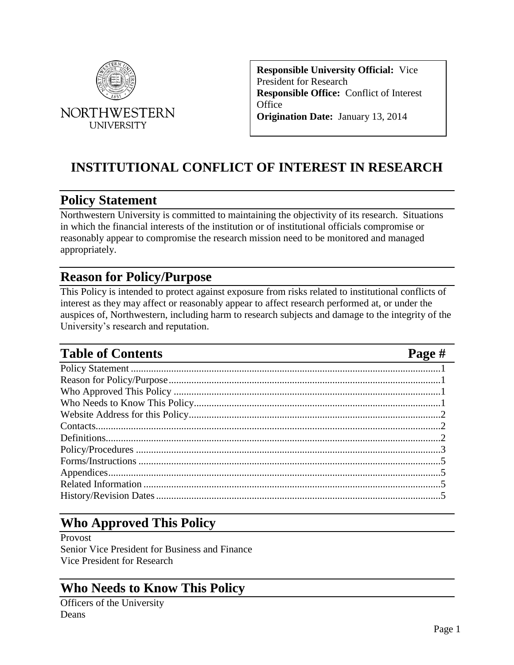

**Responsible University Official:** Vice President for Research **Responsible Office:** Conflict of Interest **Office Origination Date:** January 13, 2014

# **INSTITUTIONAL CONFLICT OF INTEREST IN RESEARCH**

## <span id="page-0-0"></span>**Policy Statement**

Northwestern University is committed to maintaining the objectivity of its research. Situations in which the financial interests of the institution or of institutional officials compromise or reasonably appear to compromise the research mission need to be monitored and managed appropriately.

## <span id="page-0-1"></span>**Reason for Policy/Purpose**

This Policy is intended to protect against exposure from risks related to institutional conflicts of interest as they may affect or reasonably appear to affect research performed at, or under the auspices of, Northwestern, including harm to research subjects and damage to the integrity of the University's research and reputation.

# **Table of Contents Page #**

Policy Statement [...........................................................................................................................1](#page-0-0) [Reason for Policy/Purpose............................................................................................................1](#page-0-1) Who Approved This Policy [..........................................................................................................1](#page-0-2) Who Needs to [Know This Policy..................................................................................................1](#page-0-3) [Website Address for this Policy....................................................................................................2](#page-1-0) [Contacts.........................................................................................................................................2](#page-1-1) [Definitions.....................................................................................................................................2](#page-1-2) Policy/Procedures [.........................................................................................................................3](#page-2-0) Forms/Instructions [........................................................................................................................5](#page-4-0) [Appendices....................................................................................................................................5](#page-4-1) Related Information [......................................................................................................................5](#page-4-2) [History/Revision Dates.................................................................................................................5](#page-4-3)

# <span id="page-0-2"></span>**Who Approved This Policy**

Provost

Senior Vice President for Business and Finance Vice President for Research

# <span id="page-0-3"></span>**Who Needs to Know This Policy**

Officers of the University Deans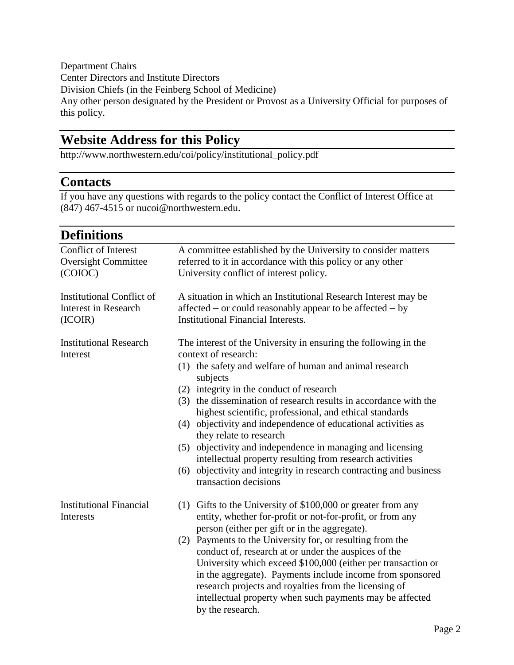Department Chairs Center Directors and Institute Directors Division Chiefs (in the Feinberg School of Medicine) Any other person designated by the President or Provost as a University Official for purposes of this policy.

# <span id="page-1-0"></span>**Website Address for this Policy**

http://www.northwestern.edu/coi/policy/institutional\_policy.pdf

## <span id="page-1-1"></span>**Contacts**

If you have any questions with regards to the policy contact the Conflict of Interest Office at (847) 467-4515 or nucoi@northwestern.edu.

<span id="page-1-2"></span>

| <b>Definitions</b>                                                         |                                                                                                                                                                                                                                                                                                                                                                                                                                                                                                                                                                                                                                                                |
|----------------------------------------------------------------------------|----------------------------------------------------------------------------------------------------------------------------------------------------------------------------------------------------------------------------------------------------------------------------------------------------------------------------------------------------------------------------------------------------------------------------------------------------------------------------------------------------------------------------------------------------------------------------------------------------------------------------------------------------------------|
| <b>Conflict of Interest</b><br><b>Oversight Committee</b><br>(COIOC)       | A committee established by the University to consider matters<br>referred to it in accordance with this policy or any other<br>University conflict of interest policy.                                                                                                                                                                                                                                                                                                                                                                                                                                                                                         |
| <b>Institutional Conflict of</b><br><b>Interest in Research</b><br>(ICOIR) | A situation in which an Institutional Research Interest may be<br>affected – or could reasonably appear to be affected – by<br><b>Institutional Financial Interests.</b>                                                                                                                                                                                                                                                                                                                                                                                                                                                                                       |
| <b>Institutional Research</b><br>Interest                                  | The interest of the University in ensuring the following in the<br>context of research:<br>(1) the safety and welfare of human and animal research<br>subjects<br>(2) integrity in the conduct of research<br>(3) the dissemination of research results in accordance with the<br>highest scientific, professional, and ethical standards<br>(4) objectivity and independence of educational activities as<br>they relate to research<br>(5) objectivity and independence in managing and licensing<br>intellectual property resulting from research activities<br>(6) objectivity and integrity in research contracting and business<br>transaction decisions |
| <b>Institutional Financial</b><br>Interests                                | (1) Gifts to the University of $$100,000$ or greater from any<br>entity, whether for-profit or not-for-profit, or from any<br>person (either per gift or in the aggregate).<br>(2) Payments to the University for, or resulting from the<br>conduct of, research at or under the auspices of the<br>University which exceed \$100,000 (either per transaction or<br>in the aggregate). Payments include income from sponsored<br>research projects and royalties from the licensing of<br>intellectual property when such payments may be affected<br>by the research.                                                                                         |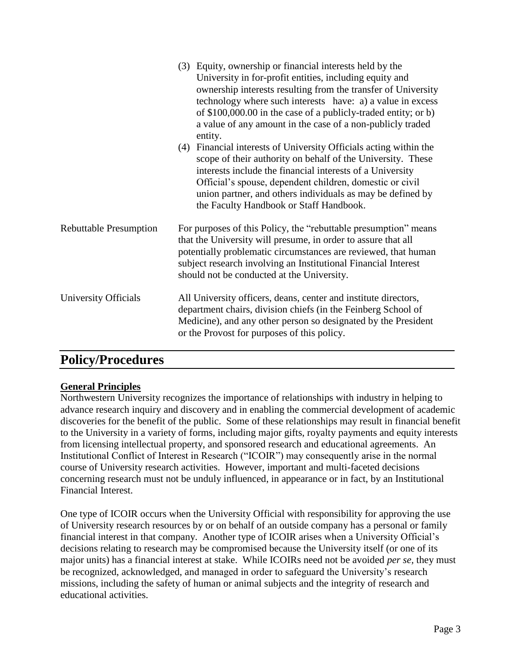|                               | (3) Equity, ownership or financial interests held by the<br>University in for-profit entities, including equity and<br>ownership interests resulting from the transfer of University<br>technology where such interests have: a) a value in excess<br>of $$100,000.00$ in the case of a publicly-traded entity; or b)<br>a value of any amount in the case of a non-publicly traded<br>entity.<br>Financial interests of University Officials acting within the<br>(4)<br>scope of their authority on behalf of the University. These<br>interests include the financial interests of a University<br>Official's spouse, dependent children, domestic or civil<br>union partner, and others individuals as may be defined by<br>the Faculty Handbook or Staff Handbook. |
|-------------------------------|-------------------------------------------------------------------------------------------------------------------------------------------------------------------------------------------------------------------------------------------------------------------------------------------------------------------------------------------------------------------------------------------------------------------------------------------------------------------------------------------------------------------------------------------------------------------------------------------------------------------------------------------------------------------------------------------------------------------------------------------------------------------------|
| <b>Rebuttable Presumption</b> | For purposes of this Policy, the "rebuttable presumption" means<br>that the University will presume, in order to assure that all<br>potentially problematic circumstances are reviewed, that human<br>subject research involving an Institutional Financial Interest<br>should not be conducted at the University.                                                                                                                                                                                                                                                                                                                                                                                                                                                      |
| University Officials          | All University officers, deans, center and institute directors,<br>department chairs, division chiefs (in the Feinberg School of<br>Medicine), and any other person so designated by the President<br>or the Provost for purposes of this policy.                                                                                                                                                                                                                                                                                                                                                                                                                                                                                                                       |

## <span id="page-2-0"></span>**Policy/Procedures**

#### **General Principles**

Northwestern University recognizes the importance of relationships with industry in helping to advance research inquiry and discovery and in enabling the commercial development of academic discoveries for the benefit of the public. Some of these relationships may result in financial benefit to the University in a variety of forms, including major gifts, royalty payments and equity interests from licensing intellectual property, and sponsored research and educational agreements. An Institutional Conflict of Interest in Research ("ICOIR") may consequently arise in the normal course of University research activities. However, important and multi-faceted decisions concerning research must not be unduly influenced, in appearance or in fact, by an Institutional Financial Interest.

One type of ICOIR occurs when the University Official with responsibility for approving the use of University research resources by or on behalf of an outside company has a personal or family financial interest in that company. Another type of ICOIR arises when a University Official's decisions relating to research may be compromised because the University itself (or one of its major units) has a financial interest at stake. While ICOIRs need not be avoided *per se,* they must be recognized, acknowledged, and managed in order to safeguard the University's research missions, including the safety of human or animal subjects and the integrity of research and educational activities.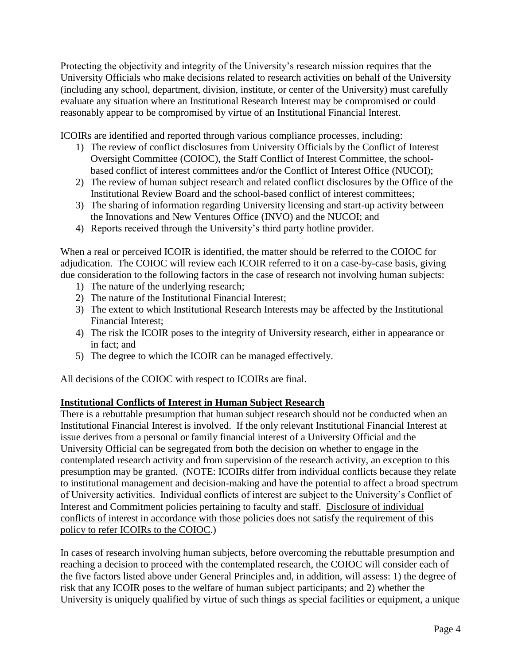Protecting the objectivity and integrity of the University's research mission requires that the University Officials who make decisions related to research activities on behalf of the University (including any school, department, division, institute, or center of the University) must carefully evaluate any situation where an Institutional Research Interest may be compromised or could reasonably appear to be compromised by virtue of an Institutional Financial Interest.

ICOIRs are identified and reported through various compliance processes, including:

- 1) The review of conflict disclosures from University Officials by the Conflict of Interest Oversight Committee (COIOC), the Staff Conflict of Interest Committee, the schoolbased conflict of interest committees and/or the Conflict of Interest Office (NUCOI);
- 2) The review of human subject research and related conflict disclosures by the Office of the Institutional Review Board and the school-based conflict of interest committees;
- 3) The sharing of information regarding University licensing and start-up activity between the Innovations and New Ventures Office (INVO) and the NUCOI; and
- 4) Reports received through the University's third party hotline provider.

When a real or perceived ICOIR is identified, the matter should be referred to the COIOC for adjudication. The COIOC will review each ICOIR referred to it on a case-by-case basis, giving due consideration to the following factors in the case of research not involving human subjects:

- 1) The nature of the underlying research;
- 2) The nature of the Institutional Financial Interest;
- 3) The extent to which Institutional Research Interests may be affected by the Institutional Financial Interest;
- 4) The risk the ICOIR poses to the integrity of University research, either in appearance or in fact; and
- 5) The degree to which the ICOIR can be managed effectively.

All decisions of the COIOC with respect to ICOIRs are final.

#### **Institutional Conflicts of Interest in Human Subject Research**

There is a rebuttable presumption that human subject research should not be conducted when an Institutional Financial Interest is involved. If the only relevant Institutional Financial Interest at issue derives from a personal or family financial interest of a University Official and the University Official can be segregated from both the decision on whether to engage in the contemplated research activity and from supervision of the research activity, an exception to this presumption may be granted. (NOTE: ICOIRs differ from individual conflicts because they relate to institutional management and decision-making and have the potential to affect a broad spectrum of University activities. Individual conflicts of interest are subject to the University's Conflict of Interest and Commitment policies pertaining to faculty and staff. Disclosure of individual conflicts of interest in accordance with those policies does not satisfy the requirement of this policy to refer ICOIRs to the COIOC.)

In cases of research involving human subjects, before overcoming the rebuttable presumption and reaching a decision to proceed with the contemplated research, the COIOC will consider each of the five factors listed above under General Principles and, in addition, will assess: 1) the degree of risk that any ICOIR poses to the welfare of human subject participants; and 2) whether the University is uniquely qualified by virtue of such things as special facilities or equipment, a unique